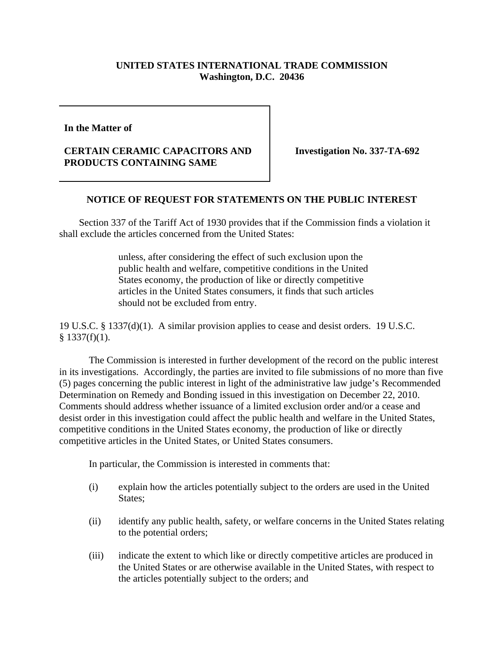## **UNITED STATES INTERNATIONAL TRADE COMMISSION Washington, D.C. 20436**

**In the Matter of** 

## **CERTAIN CERAMIC CAPACITORS AND PRODUCTS CONTAINING SAME**

**Investigation No. 337-TA-692**

## **NOTICE OF REQUEST FOR STATEMENTS ON THE PUBLIC INTEREST**

 Section 337 of the Tariff Act of 1930 provides that if the Commission finds a violation it shall exclude the articles concerned from the United States:

> unless, after considering the effect of such exclusion upon the public health and welfare, competitive conditions in the United States economy, the production of like or directly competitive articles in the United States consumers, it finds that such articles should not be excluded from entry.

19 U.S.C. § 1337(d)(1). A similar provision applies to cease and desist orders. 19 U.S.C.  $§$  1337(f)(1).

The Commission is interested in further development of the record on the public interest in its investigations. Accordingly, the parties are invited to file submissions of no more than five (5) pages concerning the public interest in light of the administrative law judge's Recommended Determination on Remedy and Bonding issued in this investigation on December 22, 2010. Comments should address whether issuance of a limited exclusion order and/or a cease and desist order in this investigation could affect the public health and welfare in the United States, competitive conditions in the United States economy, the production of like or directly competitive articles in the United States, or United States consumers.

In particular, the Commission is interested in comments that:

- (i) explain how the articles potentially subject to the orders are used in the United States;
- (ii) identify any public health, safety, or welfare concerns in the United States relating to the potential orders;
- (iii) indicate the extent to which like or directly competitive articles are produced in the United States or are otherwise available in the United States, with respect to the articles potentially subject to the orders; and